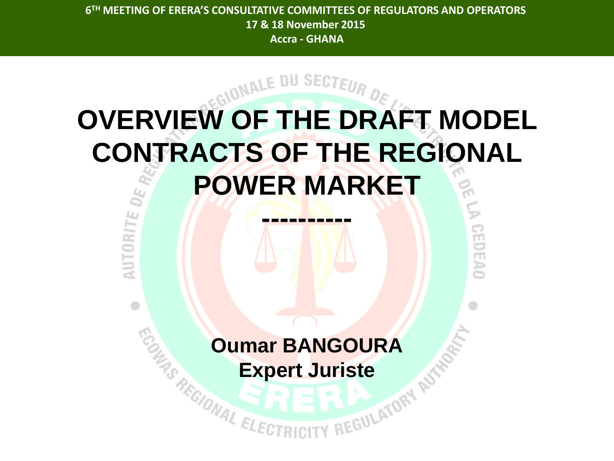# **OVERVIEW OF THE DRAFT MODEL CONTRACTS OF THE REGIONAL POWER MARKET**

**----------**

0250540

**AUTORITE** 

 $\blacksquare$ 

# **Oumar BANGOURA**

**Expert Juriste**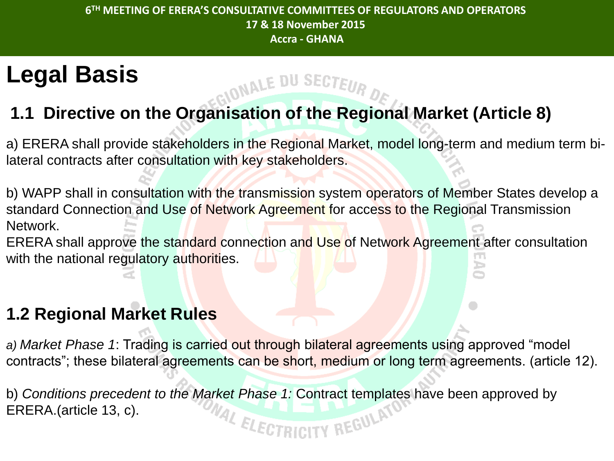NALE DU SECTEUR

## **Legal Basis**

## **1.1 Directive on the Organisation of the Regional Market (Article 8)**

a) ERERA shall provide stakeholders in the Regional Market, model long-term and medium term bilateral contracts after consultation with key stakeholders.

b) WAPP shall in consultation with the transmission system operators of Member States develop a standard Connection and Use of Network Agreement for access to the Regional Transmission Network.

ERERA shall approve the standard connection and Use of Network Agreement after consultation with the national regulatory authorities.

### **1.2 Regional Market Rules**

*a) Market Phase 1*: Trading is carried out through bilateral agreements using approved "model contracts"; these bilateral agreements can be short, medium or long term agreements. (article 12).

b) *Conditions precedent to the Market Phase 1:* Contract templates have been approved by ERERA.(article 13, c). WAL ELECTRICITY REGULAT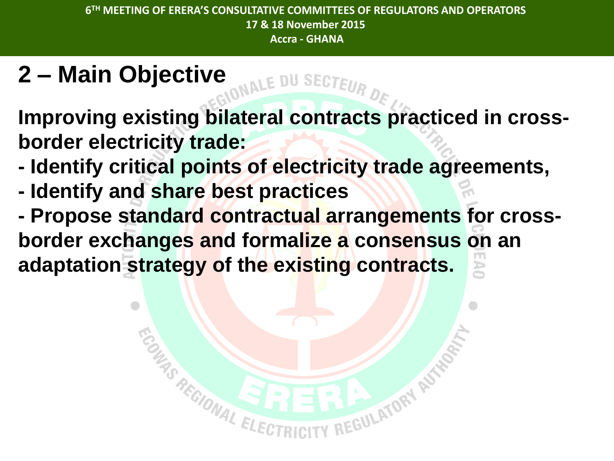# **2 – Main Objective**

**Improving existing bilateral contracts practiced in crossborder electricity trade:**

- **- Identify critical points of electricity trade agreements,**
- **- Identify and share best practices**
- **- Propose standard contractual arrangements for crossborder exchanges and formalize a consensus on an adaptation strategy of the existing contracts.**

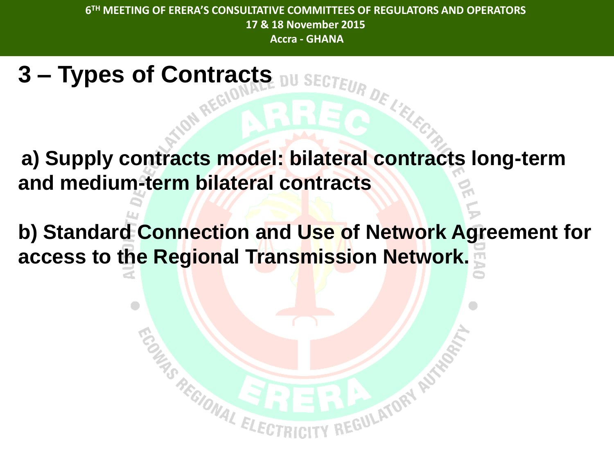IU SECTEUR

**a) Supply contracts model: bilateral contracts long-term and medium-term bilateral contracts** 

**3 – Types of Contracts**

**b) Standard Connection and Use of Network Agreement for access to the Regional Transmission Network.**

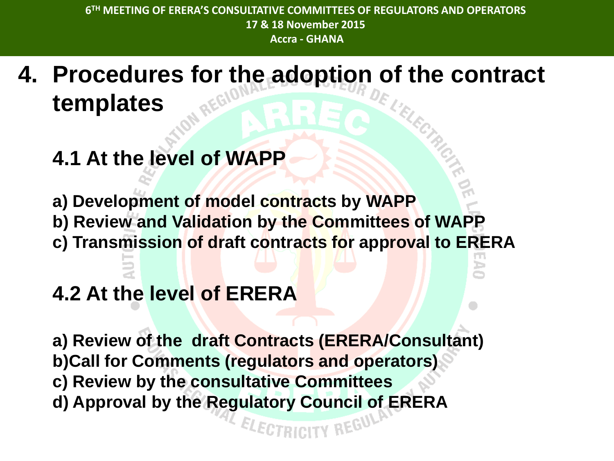- **4. Procedures for the adoption of the contract templates**
	- **4.1 At the level of WAPP**

**a) Development of model contracts by WAPP b) Review and Validation by the Committees of WAPP c) Transmission of draft contracts for approval to ERERA** 

## **4.2 At the level of ERERA**

**a) Review of the draft Contracts (ERERA/Consultant) b)Call for Comments (regulators and operators) c) Review by the consultative Committees d) Approval by the Regulatory Council of ERERA**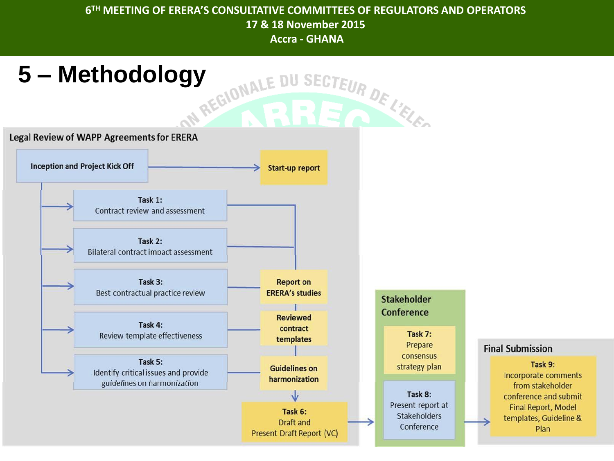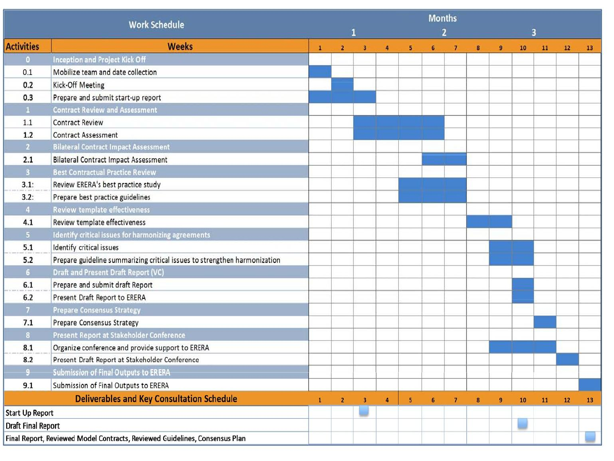| <b>Work Schedule</b>                                                        |                                                                           |              |                |                         |                |                | <b>Months</b><br>$\overline{2}$ |                |   |                | 3  |    |    |    |
|-----------------------------------------------------------------------------|---------------------------------------------------------------------------|--------------|----------------|-------------------------|----------------|----------------|---------------------------------|----------------|---|----------------|----|----|----|----|
| <b>Activities</b>                                                           | <b>Weeks</b>                                                              | $\mathbf{1}$ | $\overline{2}$ | $\overline{\mathbf{3}}$ | 4              | 5 <sup>1</sup> | 6                               | $\overline{7}$ | 8 | $\overline{9}$ | 10 | 11 | 12 | 13 |
| $\bullet$                                                                   | <b>Inception and Project Kick Off</b>                                     |              |                |                         |                |                |                                 |                |   |                |    |    |    |    |
| 0.1                                                                         | Mobilize team and date collection                                         |              |                |                         |                |                |                                 |                |   |                |    |    |    |    |
| 0.2                                                                         | Kick-Off Meeting                                                          |              |                |                         |                |                |                                 |                |   |                |    |    |    |    |
| 0.3                                                                         | Prepare and submit start-up report                                        |              |                |                         |                |                |                                 |                |   |                |    |    |    |    |
| $\mathbf{1}$                                                                | <b>Contract Review and Assessment</b>                                     |              |                |                         |                |                |                                 |                |   |                |    |    |    |    |
| $1.1\,$                                                                     | <b>Contract Review</b>                                                    |              |                |                         |                |                |                                 |                |   |                |    |    |    |    |
| 1.2                                                                         | <b>Contract Assessment</b>                                                |              |                |                         |                |                |                                 |                |   |                |    |    |    |    |
| 2 <sup>7</sup>                                                              | <b>Bilateral Contract Impact Assessment</b>                               |              |                |                         |                |                |                                 |                |   |                |    |    |    |    |
| 2.1                                                                         | <b>Bilateral Contract Impact Assessment</b>                               |              |                |                         |                |                |                                 |                |   |                |    |    |    |    |
| $3 -$                                                                       | <b>Best Contractual Practice Review</b>                                   |              |                |                         |                |                |                                 |                |   |                |    |    |    |    |
| 3.1:                                                                        | Review ERERA's best practice study                                        |              |                |                         |                |                |                                 |                |   |                |    |    |    |    |
| 3.2:                                                                        | Prepare best practice guidelines                                          |              |                |                         |                |                |                                 |                |   |                |    |    |    |    |
| $\overline{4}$                                                              | <b>Review template effectiveness</b>                                      |              |                |                         |                |                |                                 |                |   |                |    |    |    |    |
| 4.1                                                                         | Review template effectiveness                                             |              |                |                         |                |                |                                 |                |   |                |    |    |    |    |
| $5 -$                                                                       | Identify critical issues for harmonizing agreements                       |              |                |                         |                |                |                                 |                |   |                |    |    |    |    |
| 5.1                                                                         | Identify critical issues                                                  |              |                |                         |                |                |                                 |                |   |                |    |    |    |    |
| 5.2                                                                         | Prepare guideline summarizing critical issues to strengthen harmonization |              |                |                         |                |                |                                 |                |   |                |    |    |    |    |
| 6 <sup>1</sup>                                                              | <b>Draft and Present Draft Report (VC)</b>                                |              |                |                         |                |                |                                 |                |   |                |    |    |    |    |
| 6.1                                                                         | Prepare and submit draft Report                                           |              |                |                         |                |                |                                 |                |   |                |    |    |    |    |
| $6.2$                                                                       | Present Draft Report to ERERA                                             |              |                |                         |                |                |                                 |                |   |                |    |    |    |    |
| 7 <sup>1</sup>                                                              | <b>Prepare Consensus Strategy</b>                                         |              |                |                         |                |                |                                 |                |   |                |    |    |    |    |
| 7.1                                                                         | <b>Prepare Consensus Strategy</b>                                         |              |                |                         |                |                |                                 |                |   |                |    |    |    |    |
| 8 <sup>1</sup>                                                              | Present Report at Stakeholder Conference                                  |              |                |                         |                |                |                                 |                |   |                |    |    |    |    |
| 8.1                                                                         | Organize conference and provide support to ERERA                          |              |                |                         |                |                |                                 |                |   |                |    |    |    |    |
| 8.2                                                                         | Present Draft Report at Stakeholder Conference                            |              |                |                         |                |                |                                 |                |   |                |    |    |    |    |
| $9-$                                                                        | <b>Submission of Final Outputs to ERERA</b>                               |              |                |                         |                |                |                                 |                |   |                |    |    |    |    |
| 9.1                                                                         | Submission of Final Outputs to ERERA                                      |              |                |                         |                |                |                                 |                |   |                |    |    |    |    |
| <b>Deliverables and Key Consultation Schedule</b>                           |                                                                           | $\mathbf{1}$ | $\overline{2}$ | $\overline{\mathbf{3}}$ | $\overline{a}$ | 5              | 6                               | $\overline{7}$ | 8 | $\mathbf{9}$   | 10 | 11 | 12 | 13 |
| <b>Start Up Report</b>                                                      |                                                                           |              |                |                         |                |                |                                 |                |   |                |    |    |    |    |
| <b>Draft Final Report</b>                                                   |                                                                           |              |                |                         |                |                |                                 |                |   |                |    |    |    |    |
| Final Report, Reviewed Model Contracts, Reviewed Guidelines, Consensus Plan |                                                                           |              |                |                         |                |                |                                 |                |   |                |    |    |    |    |